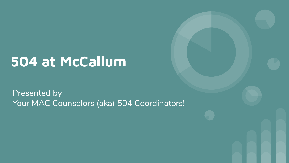# **504 at McCallum**

Presented by Your MAC Counselors (aka) 504 Coordinators!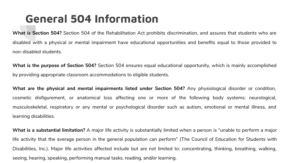#### **General 504 Information**

**What is Section 504?** Section 504 of the Rehabilitation Act prohibits discrimination, and assures that students who are disabled with a physical or mental impairment have educational opportunities and benefits equal to those provided to non-disabled students.

**What is the purpose of Section 504?** Section 504 ensures equal educational opportunity, which is mainly accomplished by providing appropriate classroom accommodations to eligible students.

**What are the physical and mental impairments listed under Section 504?** Any physiological disorder or condition, cosmetic disfigurement, or anatomical loss affecting one or more of the following body systems: neurological, musculoskeletal, respiratory or any mental or psychological disorder such as autism, emotional or mental illness, and learning disabilities.

**What is a substantial limitation?** A major life activity is substantially limited when a person is "unable to perform a major life activity that the average person in the general population can perform" (The Council of Education for Students with Disabilities, Inc.). Major life activities affected include but are not limited to: concentrating, thinking, breathing, walking, seeing, hearing, speaking, performing manual tasks, reading, and/or learning.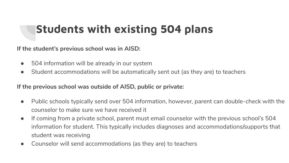### **Students with existing 504 plans**

**If the student's previous school was in AISD:**

- 504 information will be already in our system
- Student accommodations will be automatically sent out (as they are) to teachers

**If the previous school was outside of AISD, public or private:**

- Public schools typically send over 504 information, however, parent can double-check with the counselor to make sure we have received it
- If coming from a private school, parent must email counselor with the previous school's 504 information for student. This typically includes diagnoses and accommodations/supports that student was receiving
- Counselor will send accommodations (as they are) to teachers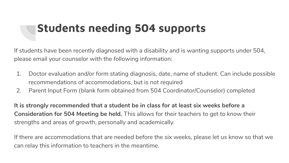### **Students needing 504 supports**

If students have been recently diagnosed with a disability and is wanting supports under 504, please email your counselor with the following information:

- 1. Doctor evaluation and/or form stating diagnosis, date, name of student. Can include possible recommendations of accommodations, but is not required
- 2. Parent Input Form (blank form obtained from 504 Coordinator/Counselor) completed

**It is strongly recommended that a student be in class for at least six weeks before a Consideration for 504 Meeting be held.** This allows for their teachers to get to know their strengths and areas of growth, personally and academically.

If there are accommodations that are needed before the six weeks, please let us know so that we can relay this information to teachers in the meantime.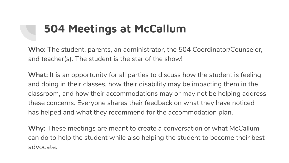#### **504 Meetings at McCallum**

**Who:** The student, parents, an administrator, the 504 Coordinator/Counselor, and teacher(s). The student is the star of the show!

**What:** It is an opportunity for all parties to discuss how the student is feeling and doing in their classes, how their disability may be impacting them in the classroom, and how their accommodations may or may not be helping address these concerns. Everyone shares their feedback on what they have noticed has helped and what they recommend for the accommodation plan.

**Why:** These meetings are meant to create a conversation of what McCallum can do to help the student while also helping the student to become their best advocate.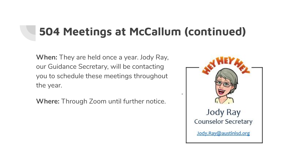#### **504 Meetings at McCallum (continued)**

**When:** They are held once a year. Jody Ray, our Guidance Secretary, will be contacting you to schedule these meetings throughout the year.

**Where:** Through Zoom until further notice.

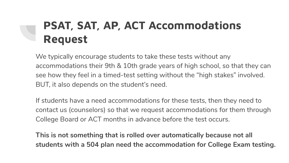# **PSAT, SAT, AP, ACT Accommodations Request**

We typically encourage students to take these tests without any accommodations their 9th & 10th grade years of high school, so that they can see how they feel in a timed-test setting without the "high stakes" involved. BUT, it also depends on the student's need.

If students have a need accommodations for these tests, then they need to contact us (counselors) so that we request accommodations for them through College Board or ACT months in advance before the test occurs.

**This is not something that is rolled over automatically because not all students with a 504 plan need the accommodation for College Exam testing.**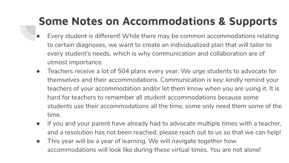## **Some Notes on Accommodations & Supports**

- Every student is different! While there may be common accommodations relating to certain diagnoses, we want to create an individualized plan that will tailor to every student's needs, which is why communication and collaboration are of utmost importance.
- Teachers receive a lot of 504 plans every year. We urge students to advocate for themselves and their accommodations. Communication is key: kindly remind your teachers of your accommodation and/or let them know when you are using it. It is hard for teachers to remember all student accommodations because some students use their accommodations all the time, some only need them some of the time.
- If you and your parent have already had to advocate multiple times with a teacher, and a resolution has not been reached, please reach out to us so that we can help!
- This year will be a year of learning. We will navigate together how accommodations will look like during these virtual times. You are not alone!